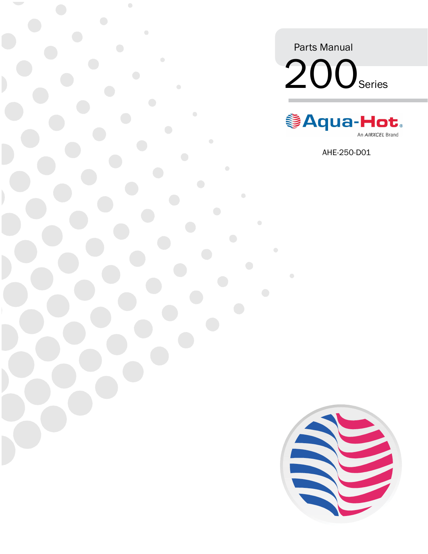Parts Manual 200<sub>Series</sub>

 $\bullet$ 



AHE-250-D01

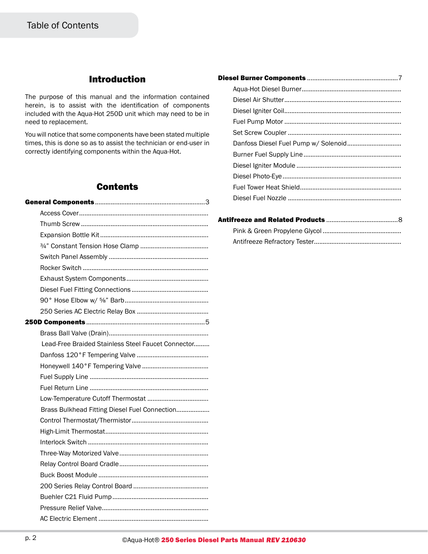## Introduction

The purpose of this manual and the information contained herein, is to assist with the identification of components included with the Aqua-Hot 250D unit which may need to be in need to replacement.

You will notice that some components have been stated multiple times, this is done so as to assist the technician or end-user in correctly identifying components within the Aqua-Hot.

## **Contents**

| Lead-Free Braided Stainless Steel Faucet Connector |
|----------------------------------------------------|
|                                                    |
|                                                    |
|                                                    |
|                                                    |
|                                                    |
| Brass Bulkhead Fitting Diesel Fuel Connection      |
|                                                    |
|                                                    |
|                                                    |
|                                                    |
|                                                    |
|                                                    |
|                                                    |
|                                                    |
|                                                    |
|                                                    |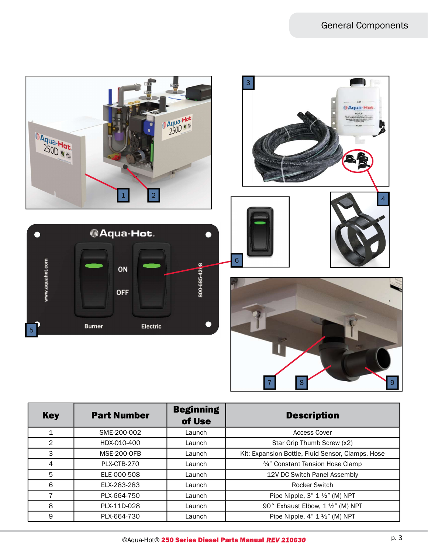

| <b>Key</b>     | <b>Part Number</b> | <b>Beginning</b><br>of Use | <b>Description</b>                                |
|----------------|--------------------|----------------------------|---------------------------------------------------|
| 1              | SME-200-002        | Launch                     | <b>Access Cover</b>                               |
| $\overline{2}$ | HDX-010-400        | Launch                     | Star Grip Thumb Screw (x2)                        |
| 3              | <b>MSE-200-OFB</b> | Launch                     | Kit: Expansion Bottle, Fluid Sensor, Clamps, Hose |
| 4              | PLX-CTB-270        | Launch                     | 3/4" Constant Tension Hose Clamp                  |
| 5              | ELE-000-508        | Launch                     | 12V DC Switch Panel Assembly                      |
| 6              | ELX-283-283        | Launch                     | <b>Rocker Switch</b>                              |
| 7              | PLX-664-750        | Launch                     | Pipe Nipple, $3" 1\frac{1}{2}"$ (M) NPT           |
| 8              | PLX-11D-028        | Launch                     | 90° Exhaust Elbow, 1 1/2" (M) NPT                 |
| 9              | PLX-664-730        | Launch                     | Pipe Nipple, $4" 1\frac{1}{2}"$ (M) NPT           |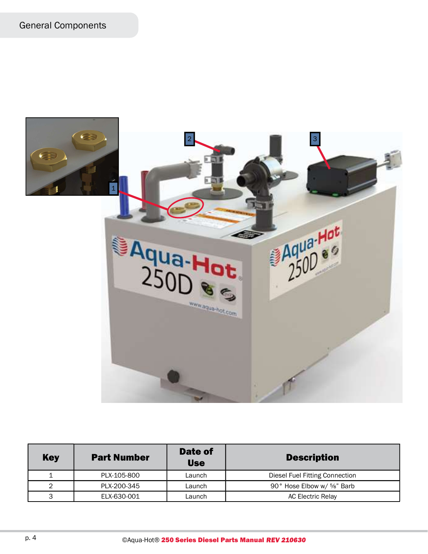

| <b>Key</b> | <b>Part Number</b> | Date of<br><b>Use</b> | <b>Description</b>             |
|------------|--------------------|-----------------------|--------------------------------|
|            | PLX-105-800        | Launch                | Diesel Fuel Fitting Connection |
| っ          | PLX-200-345        | Launch                | 90° Hose Elbow w/ %" Barb      |
| 3          | ELX-630-001        | Launch                | <b>AC Electric Relay</b>       |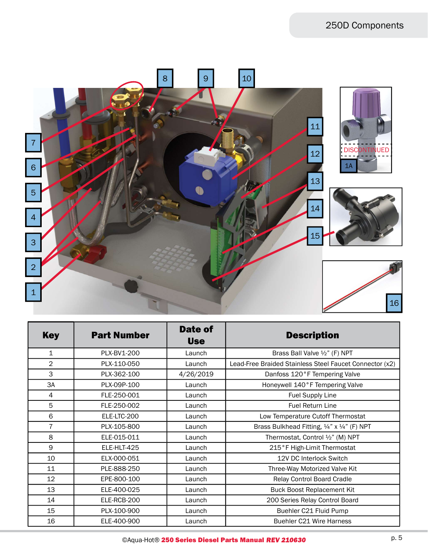## 250D Components



| <b>Key</b>     | <b>Part Number</b> | Date of<br><b>Use</b> | <b>Description</b>                                      |
|----------------|--------------------|-----------------------|---------------------------------------------------------|
| $\mathbf{1}$   | PLX-BV1-200        | Launch                | Brass Ball Valve $\frac{1}{2}$ " (F) NPT                |
| $\overline{2}$ | PLX-110-050        | Launch                | Lead-Free Braided Stainless Steel Faucet Connector (x2) |
| 3              | PLX-362-100        | 4/26/2019             | Danfoss 120°F Tempering Valve                           |
| 3A             | PLX-09P-100        | Launch                | Honeywell 140°F Tempering Valve                         |
| 4              | FLE-250-001        | Launch                | Fuel Supply Line                                        |
| 5              | FLE-250-002        | Launch                | <b>Fuel Return Line</b>                                 |
| 6              | ELE-LTC-200        | Launch                | Low Temperature Cutoff Thermostat                       |
| $\overline{7}$ | PLX-105-800        | Launch                | Brass Bulkhead Fitting, 1/4" x 1/4" (F) NPT             |
| 8              | ELE-015-011        | Launch                | Thermostat, Control 1/2" (M) NPT                        |
| 9              | ELE-HLT-425        | Launch                | 215°F High-Limit Thermostat                             |
| 10             | ELX-000-051        | Launch                | 12V DC Interlock Switch                                 |
| 11             | PLE-888-250        | Launch                | Three-Way Motorized Valve Kit                           |
| 12             | EPE-800-100        | Launch                | Relay Control Board Cradle                              |
| 13             | ELE-400-025        | Launch                | <b>Buck Boost Replacement Kit</b>                       |
| 14             | ELE-RCB-200        | Launch                | 200 Series Relay Control Board                          |
| 15             | PLX-100-900        | Launch                | Buehler C21 Fluid Pump                                  |
| 16             | ELE-400-900        | Launch                | <b>Buehler C21 Wire Harness</b>                         |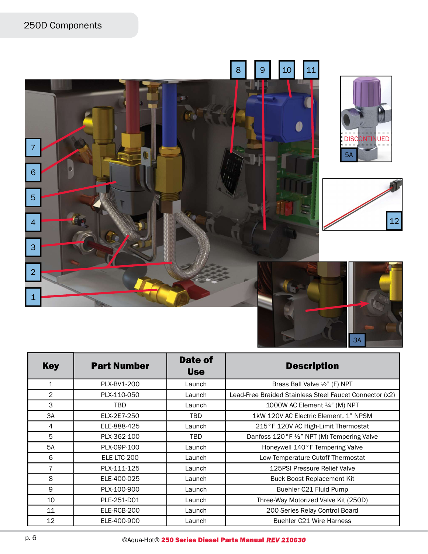## 250D Components



| <b>Key</b>     | <b>Part Number</b> | Date of<br><b>Use</b> | <b>Description</b>                                      |
|----------------|--------------------|-----------------------|---------------------------------------------------------|
| $\mathbf{1}$   | PLX-BV1-200        | Launch                | Brass Ball Valve 1/2" (F) NPT                           |
| $\overline{2}$ | PLX-110-050        | Launch                | Lead-Free Braided Stainless Steel Faucet Connector (x2) |
| 3              | TBD                | Launch                | 1000W AC Element 3/4" (M) NPT                           |
| 3A             | ELX-2E7-250        | TBD.                  | 1kW 120V AC Electric Element, 1" NPSM                   |
| 4              | ELE-888-425        | Launch                | 215°F 120V AC High-Limit Thermostat                     |
| 5              | PLX-362-100        | TBD                   | Danfoss 120°F 1/2" NPT (M) Tempering Valve              |
| 5A             | PLX-09P-100        | Launch                | Honeywell 140°F Tempering Valve                         |
| 6              | ELE-LTC-200        | Launch                | Low-Temperature Cutoff Thermostat                       |
| 7              | PLX-111-125        | Launch                | 125PSI Pressure Relief Valve                            |
| 8              | ELE-400-025        | Launch                | <b>Buck Boost Replacement Kit</b>                       |
| 9              | PLX-100-900        | Launch                | Buehler C21 Fluid Pump                                  |
| 10             | PLE-251-D01        | Launch                | Three-Way Motorized Valve Kit (250D)                    |
| 11             | ELE-RCB-200        | Launch                | 200 Series Relay Control Board                          |
| 12             | ELE-400-900        | Launch                | <b>Buehler C21 Wire Harness</b>                         |

3A

p. 6 CAqua-Hot® 250 Series Diesel Parts Manual REV 210630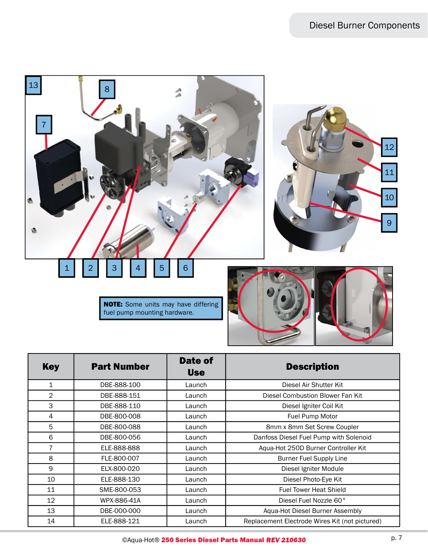

10 ELE-888-130 Launch Diesel Photo-Eye Kit 11 **SME-800-053 Launch Launch Fuel Tower Heat Shield** 12 WPX-886-41A Launch Diesel Fuel Nozzle 60° 13 DBE-000-000 Launch Aqua-Hot Diesel Burner Assembly 14 ELE-888-121 Launch Replacement Electrode Wires Kit (not pictured)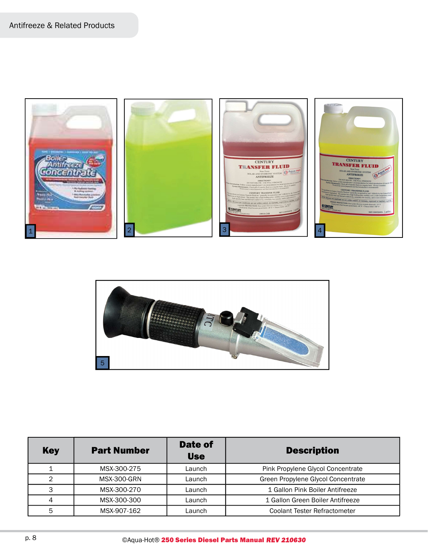



| <b>Key</b> | <b>Part Number</b> | Date of<br><b>Use</b> | <b>Description</b>                  |
|------------|--------------------|-----------------------|-------------------------------------|
|            | MSX-300-275        | Launch                | Pink Propylene Glycol Concentrate   |
| 2          | <b>MSX-300-GRN</b> | Launch                | Green Propylene Glycol Concentrate  |
| 3          | MSX-300-270        | Launch                | 1 Gallon Pink Boiler Antifreeze     |
| 4          | MSX-300-300        | Launch                | 1 Gallon Green Boiler Antifreeze    |
| 5          | MSX-907-162        | Launch                | <b>Coolant Tester Refractometer</b> |